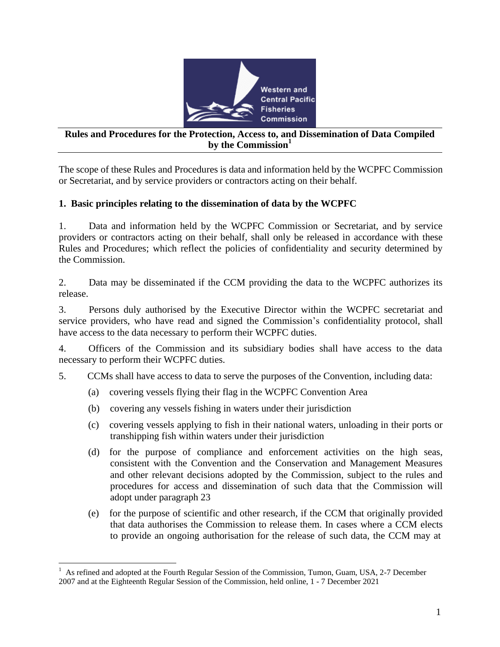

## **Rules and Procedures for the Protection, Access to, and Dissemination of Data Compiled by the Commission<sup>1</sup>**

The scope of these Rules and Procedures is data and information held by the WCPFC Commission or Secretariat, and by service providers or contractors acting on their behalf.

## **1. Basic principles relating to the dissemination of data by the WCPFC**

1. Data and information held by the WCPFC Commission or Secretariat, and by service providers or contractors acting on their behalf, shall only be released in accordance with these Rules and Procedures; which reflect the policies of confidentiality and security determined by the Commission.

2. Data may be disseminated if the CCM providing the data to the WCPFC authorizes its release.

3. Persons duly authorised by the Executive Director within the WCPFC secretariat and service providers, who have read and signed the Commission's confidentiality protocol, shall have access to the data necessary to perform their WCPFC duties.

4. Officers of the Commission and its subsidiary bodies shall have access to the data necessary to perform their WCPFC duties.

- 5. CCMs shall have access to data to serve the purposes of the Convention, including data:
	- (a) covering vessels flying their flag in the WCPFC Convention Area
	- (b) covering any vessels fishing in waters under their jurisdiction
	- (c) covering vessels applying to fish in their national waters, unloading in their ports or transhipping fish within waters under their jurisdiction
	- (d) for the purpose of compliance and enforcement activities on the high seas, consistent with the Convention and the Conservation and Management Measures and other relevant decisions adopted by the Commission, subject to the rules and procedures for access and dissemination of such data that the Commission will adopt under paragraph 23
	- (e) for the purpose of scientific and other research, if the CCM that originally provided that data authorises the Commission to release them. In cases where a CCM elects to provide an ongoing authorisation for the release of such data, the CCM may at

<sup>&</sup>lt;sup>1</sup> As refined and adopted at the Fourth Regular Session of the Commission, Tumon, Guam, USA, 2-7 December 2007 and at the Eighteenth Regular Session of the Commission, held online, 1 - 7 December 2021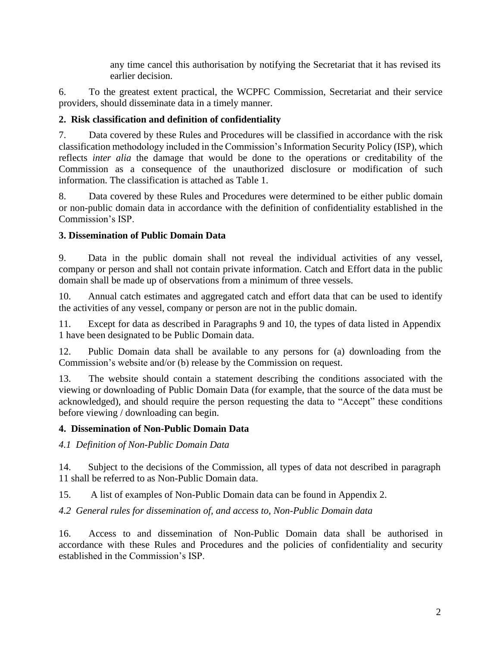any time cancel this authorisation by notifying the Secretariat that it has revised its earlier decision.

6. To the greatest extent practical, the WCPFC Commission, Secretariat and their service providers, should disseminate data in a timely manner.

## **2. Risk classification and definition of confidentiality**

7. Data covered by these Rules and Procedures will be classified in accordance with the risk classification methodology included in the Commission's Information Security Policy (ISP), which reflects *inter alia* the damage that would be done to the operations or creditability of the Commission as a consequence of the unauthorized disclosure or modification of such information. The classification is attached as Table 1.

8. Data covered by these Rules and Procedures were determined to be either public domain or non-public domain data in accordance with the definition of confidentiality established in the Commission's ISP.

## **3. Dissemination of Public Domain Data**

9. Data in the public domain shall not reveal the individual activities of any vessel, company or person and shall not contain private information. Catch and Effort data in the public domain shall be made up of observations from a minimum of three vessels.

10. Annual catch estimates and aggregated catch and effort data that can be used to identify the activities of any vessel, company or person are not in the public domain.

11. Except for data as described in Paragraphs 9 and 10, the types of data listed in Appendix 1 have been designated to be Public Domain data.

12. Public Domain data shall be available to any persons for (a) downloading from the Commission's website and/or (b) release by the Commission on request.

13. The website should contain a statement describing the conditions associated with the viewing or downloading of Public Domain Data (for example, that the source of the data must be acknowledged), and should require the person requesting the data to "Accept" these conditions before viewing / downloading can begin.

## **4. Dissemination of Non-Public Domain Data**

*4.1 Definition of Non-Public Domain Data*

14. Subject to the decisions of the Commission, all types of data not described in paragraph 11 shall be referred to as Non-Public Domain data.

15. A list of examples of Non-Public Domain data can be found in Appendix 2.

*4.2 General rules for dissemination of, and access to, Non-Public Domain data*

16. Access to and dissemination of Non-Public Domain data shall be authorised in accordance with these Rules and Procedures and the policies of confidentiality and security established in the Commission's ISP.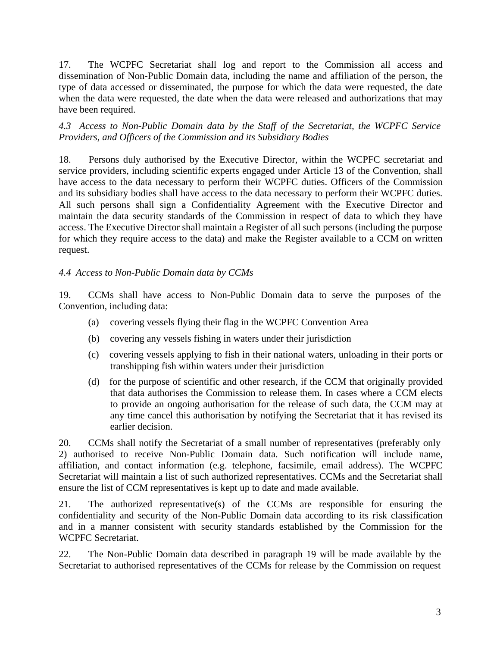17. The WCPFC Secretariat shall log and report to the Commission all access and dissemination of Non-Public Domain data, including the name and affiliation of the person, the type of data accessed or disseminated, the purpose for which the data were requested, the date when the data were requested, the date when the data were released and authorizations that may have been required.

*4.3 Access to Non-Public Domain data by the Staff of the Secretariat, the WCPFC Service Providers, and Officers of the Commission and its Subsidiary Bodies*

18. Persons duly authorised by the Executive Director, within the WCPFC secretariat and service providers, including scientific experts engaged under Article 13 of the Convention, shall have access to the data necessary to perform their WCPFC duties. Officers of the Commission and its subsidiary bodies shall have access to the data necessary to perform their WCPFC duties. All such persons shall sign a Confidentiality Agreement with the Executive Director and maintain the data security standards of the Commission in respect of data to which they have access. The Executive Director shall maintain a Register of all such persons (including the purpose for which they require access to the data) and make the Register available to a CCM on written request.

### *4.4 Access to Non-Public Domain data by CCMs*

19. CCMs shall have access to Non-Public Domain data to serve the purposes of the Convention, including data:

- (a) covering vessels flying their flag in the WCPFC Convention Area
- (b) covering any vessels fishing in waters under their jurisdiction
- (c) covering vessels applying to fish in their national waters, unloading in their ports or transhipping fish within waters under their jurisdiction
- (d) for the purpose of scientific and other research, if the CCM that originally provided that data authorises the Commission to release them. In cases where a CCM elects to provide an ongoing authorisation for the release of such data, the CCM may at any time cancel this authorisation by notifying the Secretariat that it has revised its earlier decision.

20. CCMs shall notify the Secretariat of a small number of representatives (preferably only 2) authorised to receive Non-Public Domain data. Such notification will include name, affiliation, and contact information (e.g. telephone, facsimile, email address). The WCPFC Secretariat will maintain a list of such authorized representatives. CCMs and the Secretariat shall ensure the list of CCM representatives is kept up to date and made available.

21. The authorized representative(s) of the CCMs are responsible for ensuring the confidentiality and security of the Non-Public Domain data according to its risk classification and in a manner consistent with security standards established by the Commission for the WCPFC Secretariat.

22. The Non-Public Domain data described in paragraph 19 will be made available by the Secretariat to authorised representatives of the CCMs for release by the Commission on request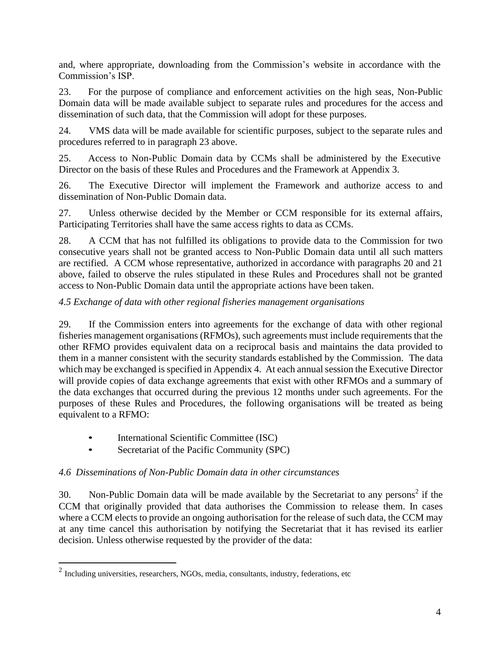and, where appropriate, downloading from the Commission's website in accordance with the Commission's ISP.

23. For the purpose of compliance and enforcement activities on the high seas, Non-Public Domain data will be made available subject to separate rules and procedures for the access and dissemination of such data, that the Commission will adopt for these purposes.

24. VMS data will be made available for scientific purposes, subject to the separate rules and procedures referred to in paragraph 23 above.

25. Access to Non-Public Domain data by CCMs shall be administered by the Executive Director on the basis of these Rules and Procedures and the Framework at Appendix 3.

26. The Executive Director will implement the Framework and authorize access to and dissemination of Non-Public Domain data.

27. Unless otherwise decided by the Member or CCM responsible for its external affairs, Participating Territories shall have the same access rights to data as CCMs.

28. A CCM that has not fulfilled its obligations to provide data to the Commission for two consecutive years shall not be granted access to Non-Public Domain data until all such matters are rectified. A CCM whose representative, authorized in accordance with paragraphs 20 and 21 above, failed to observe the rules stipulated in these Rules and Procedures shall not be granted access to Non-Public Domain data until the appropriate actions have been taken.

## *4.5 Exchange of data with other regional fisheries management organisations*

29. If the Commission enters into agreements for the exchange of data with other regional fisheries management organisations (RFMOs), such agreements must include requirements that the other RFMO provides equivalent data on a reciprocal basis and maintains the data provided to them in a manner consistent with the security standards established by the Commission. The data which may be exchanged is specified in Appendix 4. At each annual session the Executive Director will provide copies of data exchange agreements that exist with other RFMOs and a summary of the data exchanges that occurred during the previous 12 months under such agreements. For the purposes of these Rules and Procedures, the following organisations will be treated as being equivalent to a RFMO:

- International Scientific Committee (ISC)
- Secretariat of the Pacific Community (SPC)

## *4.6 Disseminations of Non-Public Domain data in other circumstances*

30. Non-Public Domain data will be made available by the Secretariat to any persons<sup>2</sup> if the CCM that originally provided that data authorises the Commission to release them. In cases where a CCM elects to provide an ongoing authorisation for the release of such data, the CCM may at any time cancel this authorisation by notifying the Secretariat that it has revised its earlier decision. Unless otherwise requested by the provider of the data:

 $2$  Including universities, researchers, NGOs, media, consultants, industry, federations, etc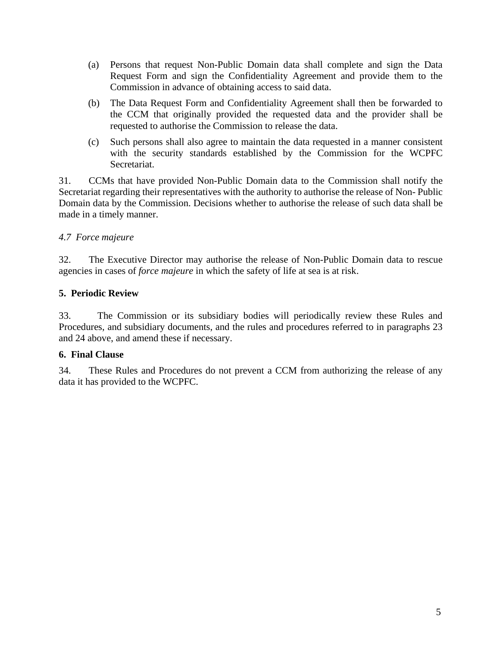- (a) Persons that request Non-Public Domain data shall complete and sign the Data Request Form and sign the Confidentiality Agreement and provide them to the Commission in advance of obtaining access to said data.
- (b) The Data Request Form and Confidentiality Agreement shall then be forwarded to the CCM that originally provided the requested data and the provider shall be requested to authorise the Commission to release the data.
- (c) Such persons shall also agree to maintain the data requested in a manner consistent with the security standards established by the Commission for the WCPFC Secretariat.

31. CCMs that have provided Non-Public Domain data to the Commission shall notify the Secretariat regarding their representatives with the authority to authorise the release of Non- Public Domain data by the Commission. Decisions whether to authorise the release of such data shall be made in a timely manner.

## *4.7 Force majeure*

32. The Executive Director may authorise the release of Non-Public Domain data to rescue agencies in cases of *force majeure* in which the safety of life at sea is at risk.

## **5. Periodic Review**

33. The Commission or its subsidiary bodies will periodically review these Rules and Procedures, and subsidiary documents, and the rules and procedures referred to in paragraphs 23 and 24 above, and amend these if necessary.

## **6. Final Clause**

34. These Rules and Procedures do not prevent a CCM from authorizing the release of any data it has provided to the WCPFC.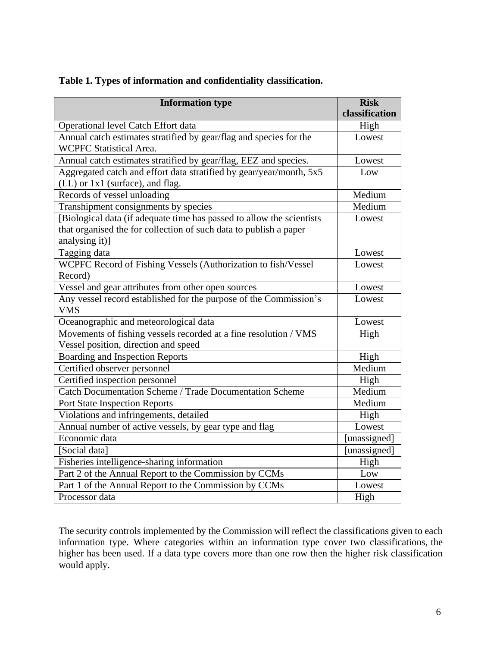| <b>Information type</b>                                                                                                                                      | <b>Risk</b><br>classification |
|--------------------------------------------------------------------------------------------------------------------------------------------------------------|-------------------------------|
| Operational level Catch Effort data                                                                                                                          | High                          |
| Annual catch estimates stratified by gear/flag and species for the<br><b>WCPFC Statistical Area.</b>                                                         | Lowest                        |
| Annual catch estimates stratified by gear/flag, EEZ and species.                                                                                             | Lowest                        |
| Aggregated catch and effort data stratified by gear/year/month, 5x5<br>(LL) or 1x1 (surface), and flag.                                                      | Low                           |
| Records of vessel unloading                                                                                                                                  | Medium                        |
| Transhipment consignments by species                                                                                                                         | Medium                        |
| [Biological data (if adequate time has passed to allow the scientists<br>that organised the for collection of such data to publish a paper<br>analysing it)] | Lowest                        |
| Tagging data                                                                                                                                                 | Lowest                        |
| WCPFC Record of Fishing Vessels (Authorization to fish/Vessel<br>Record)                                                                                     | Lowest                        |
| Vessel and gear attributes from other open sources                                                                                                           | Lowest                        |
| Any vessel record established for the purpose of the Commission's<br><b>VMS</b>                                                                              | Lowest                        |
| Oceanographic and meteorological data                                                                                                                        | Lowest                        |
| Movements of fishing vessels recorded at a fine resolution / VMS<br>Vessel position, direction and speed                                                     | High                          |
| <b>Boarding and Inspection Reports</b>                                                                                                                       | High                          |
| Certified observer personnel                                                                                                                                 | Medium                        |
| Certified inspection personnel                                                                                                                               | High                          |
| Catch Documentation Scheme / Trade Documentation Scheme                                                                                                      | Medium                        |
| <b>Port State Inspection Reports</b>                                                                                                                         | Medium                        |
| Violations and infringements, detailed                                                                                                                       | High                          |
| Annual number of active vessels, by gear type and flag                                                                                                       | Lowest                        |
| Economic data                                                                                                                                                | [unassigned]                  |
| [Social data]                                                                                                                                                | [unassigned]                  |
| Fisheries intelligence-sharing information                                                                                                                   | High                          |
| Part 2 of the Annual Report to the Commission by CCMs                                                                                                        | Low                           |
| Part 1 of the Annual Report to the Commission by CCMs                                                                                                        | Lowest                        |
| Processor data                                                                                                                                               | High                          |

**Table 1. Types of information and confidentiality classification.**

The security controls implemented by the Commission will reflect the classifications given to each information type. Where categories within an information type cover two classifications, the higher has been used. If a data type covers more than one row then the higher risk classification would apply.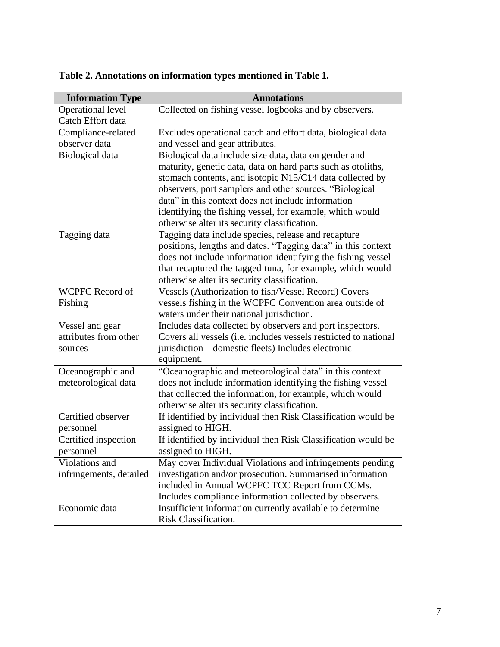| <b>Information Type</b> | <b>Annotations</b>                                                                                        |  |  |
|-------------------------|-----------------------------------------------------------------------------------------------------------|--|--|
| Operational level       | Collected on fishing vessel logbooks and by observers.                                                    |  |  |
| Catch Effort data       |                                                                                                           |  |  |
| Compliance-related      | Excludes operational catch and effort data, biological data                                               |  |  |
| observer data           | and vessel and gear attributes.                                                                           |  |  |
| Biological data         | Biological data include size data, data on gender and                                                     |  |  |
|                         | maturity, genetic data, data on hard parts such as otoliths,                                              |  |  |
|                         | stomach contents, and isotopic N15/C14 data collected by                                                  |  |  |
|                         | observers, port samplers and other sources. "Biological                                                   |  |  |
|                         | data" in this context does not include information                                                        |  |  |
|                         | identifying the fishing vessel, for example, which would                                                  |  |  |
|                         | otherwise alter its security classification.                                                              |  |  |
| Tagging data            | Tagging data include species, release and recapture                                                       |  |  |
|                         | positions, lengths and dates. "Tagging data" in this context                                              |  |  |
|                         | does not include information identifying the fishing vessel                                               |  |  |
|                         | that recaptured the tagged tuna, for example, which would<br>otherwise alter its security classification. |  |  |
| <b>WCPFC Record of</b>  | Vessels (Authorization to fish/Vessel Record) Covers                                                      |  |  |
| Fishing                 | vessels fishing in the WCPFC Convention area outside of                                                   |  |  |
|                         | waters under their national jurisdiction.                                                                 |  |  |
| Vessel and gear         | Includes data collected by observers and port inspectors.                                                 |  |  |
| attributes from other   | Covers all vessels (i.e. includes vessels restricted to national                                          |  |  |
| sources                 | jurisdiction – domestic fleets) Includes electronic                                                       |  |  |
|                         | equipment.                                                                                                |  |  |
| Oceanographic and       | "Oceanographic and meteorological data" in this context                                                   |  |  |
| meteorological data     | does not include information identifying the fishing vessel                                               |  |  |
|                         | that collected the information, for example, which would                                                  |  |  |
|                         | otherwise alter its security classification.                                                              |  |  |
| Certified observer      | If identified by individual then Risk Classification would be                                             |  |  |
| personnel               | assigned to HIGH.                                                                                         |  |  |
| Certified inspection    | If identified by individual then Risk Classification would be                                             |  |  |
| personnel               | assigned to HIGH.                                                                                         |  |  |
| Violations and          | May cover Individual Violations and infringements pending                                                 |  |  |
| infringements, detailed | investigation and/or prosecution. Summarised information                                                  |  |  |
|                         | included in Annual WCPFC TCC Report from CCMs.                                                            |  |  |
|                         | Includes compliance information collected by observers.                                                   |  |  |
| Economic data           | Insufficient information currently available to determine                                                 |  |  |
|                         | Risk Classification.                                                                                      |  |  |

# **Table 2. Annotations on information types mentioned in Table 1.**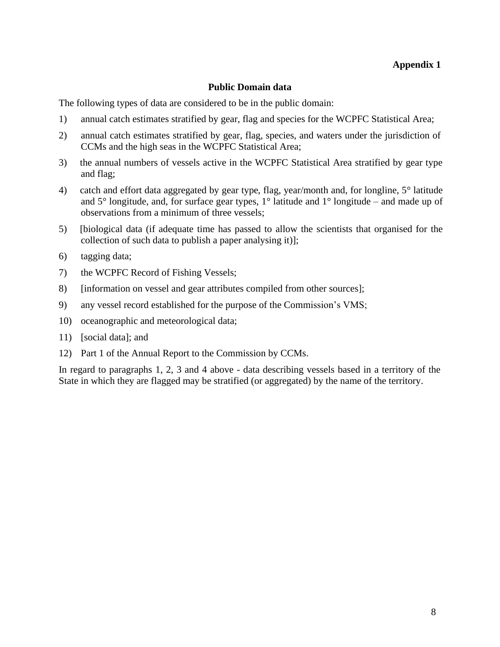### **Public Domain data**

The following types of data are considered to be in the public domain:

- 1) annual catch estimates stratified by gear, flag and species for the WCPFC Statistical Area;
- 2) annual catch estimates stratified by gear, flag, species, and waters under the jurisdiction of CCMs and the high seas in the WCPFC Statistical Area;
- 3) the annual numbers of vessels active in the WCPFC Statistical Area stratified by gear type and flag;
- 4) catch and effort data aggregated by gear type, flag, year/month and, for longline, 5° latitude and 5° longitude, and, for surface gear types, 1° latitude and 1° longitude – and made up of observations from a minimum of three vessels;
- 5) [biological data (if adequate time has passed to allow the scientists that organised for the collection of such data to publish a paper analysing it)];
- 6) tagging data;
- 7) the WCPFC Record of Fishing Vessels;
- 8) [information on vessel and gear attributes compiled from other sources];
- 9) any vessel record established for the purpose of the Commission's VMS;
- 10) oceanographic and meteorological data;
- 11) [social data]; and
- 12) Part 1 of the Annual Report to the Commission by CCMs.

In regard to paragraphs 1, 2, 3 and 4 above - data describing vessels based in a territory of the State in which they are flagged may be stratified (or aggregated) by the name of the territory.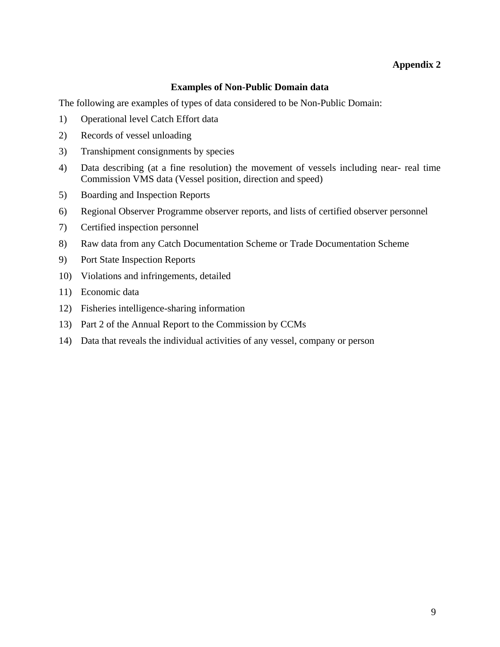### **Examples of Non-Public Domain data**

The following are examples of types of data considered to be Non-Public Domain:

- 1) Operational level Catch Effort data
- 2) Records of vessel unloading
- 3) Transhipment consignments by species
- 4) Data describing (at a fine resolution) the movement of vessels including near- real time Commission VMS data (Vessel position, direction and speed)
- 5) Boarding and Inspection Reports
- 6) Regional Observer Programme observer reports, and lists of certified observer personnel
- 7) Certified inspection personnel
- 8) Raw data from any Catch Documentation Scheme or Trade Documentation Scheme
- 9) Port State Inspection Reports
- 10) Violations and infringements, detailed
- 11) Economic data
- 12) Fisheries intelligence-sharing information
- 13) Part 2 of the Annual Report to the Commission by CCMs
- 14) Data that reveals the individual activities of any vessel, company or person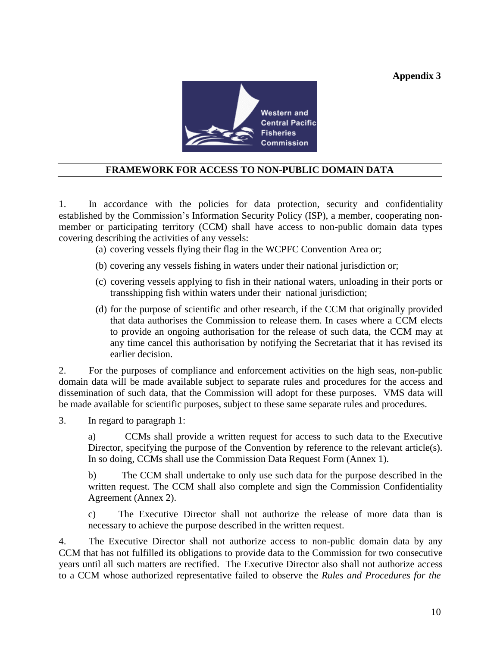

## **FRAMEWORK FOR ACCESS TO NON-PUBLIC DOMAIN DATA**

1. In accordance with the policies for data protection, security and confidentiality established by the Commission's Information Security Policy (ISP), a member, cooperating nonmember or participating territory (CCM) shall have access to non-public domain data types covering describing the activities of any vessels:

(a) covering vessels flying their flag in the WCPFC Convention Area or;

- (b) covering any vessels fishing in waters under their national jurisdiction or;
- (c) covering vessels applying to fish in their national waters, unloading in their ports or transshipping fish within waters under their national jurisdiction;
- (d) for the purpose of scientific and other research, if the CCM that originally provided that data authorises the Commission to release them. In cases where a CCM elects to provide an ongoing authorisation for the release of such data, the CCM may at any time cancel this authorisation by notifying the Secretariat that it has revised its earlier decision.

2. For the purposes of compliance and enforcement activities on the high seas, non-public domain data will be made available subject to separate rules and procedures for the access and dissemination of such data, that the Commission will adopt for these purposes. VMS data will be made available for scientific purposes, subject to these same separate rules and procedures.

3. In regard to paragraph 1:

a) CCMs shall provide a written request for access to such data to the Executive Director, specifying the purpose of the Convention by reference to the relevant article(s). In so doing, CCMs shall use the Commission Data Request Form (Annex 1).

b) The CCM shall undertake to only use such data for the purpose described in the written request. The CCM shall also complete and sign the Commission Confidentiality Agreement (Annex 2).

c) The Executive Director shall not authorize the release of more data than is necessary to achieve the purpose described in the written request.

4. The Executive Director shall not authorize access to non-public domain data by any CCM that has not fulfilled its obligations to provide data to the Commission for two consecutive years until all such matters are rectified. The Executive Director also shall not authorize access to a CCM whose authorized representative failed to observe the *Rules and Procedures for the*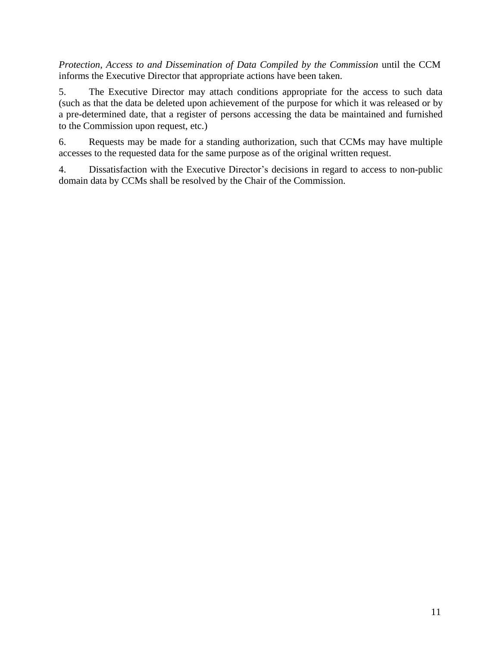*Protection, Access to and Dissemination of Data Compiled by the Commission* until the CCM informs the Executive Director that appropriate actions have been taken.

5. The Executive Director may attach conditions appropriate for the access to such data (such as that the data be deleted upon achievement of the purpose for which it was released or by a pre-determined date, that a register of persons accessing the data be maintained and furnished to the Commission upon request, etc.)

6. Requests may be made for a standing authorization, such that CCMs may have multiple accesses to the requested data for the same purpose as of the original written request.

4. Dissatisfaction with the Executive Director's decisions in regard to access to non-public domain data by CCMs shall be resolved by the Chair of the Commission.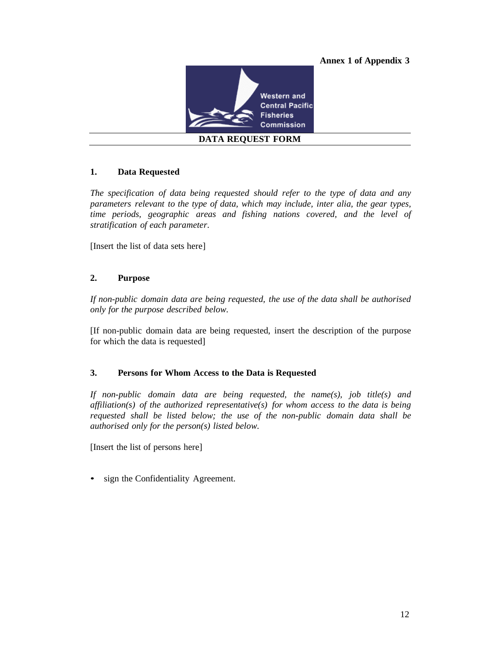

### **1. Data Requested**

*The specification of data being requested should refer to the type of data and any parameters relevant to the type of data, which may include, inter alia, the gear types, time periods, geographic areas and fishing nations covered, and the level of stratification of each parameter.*

[Insert the list of data sets here]

#### **2. Purpose**

*If non-public domain data are being requested, the use of the data shall be authorised only for the purpose described below.*

[If non-public domain data are being requested, insert the description of the purpose for which the data is requested]

#### **3. Persons for Whom Access to the Data is Requested**

*If non-public domain data are being requested, the name(s), job title(s) and affiliation(s) of the authorized representative(s) for whom access to the data is being requested shall be listed below; the use of the non-public domain data shall be authorised only for the person(s) listed below.*

[Insert the list of persons here]

• sign the Confidentiality Agreement.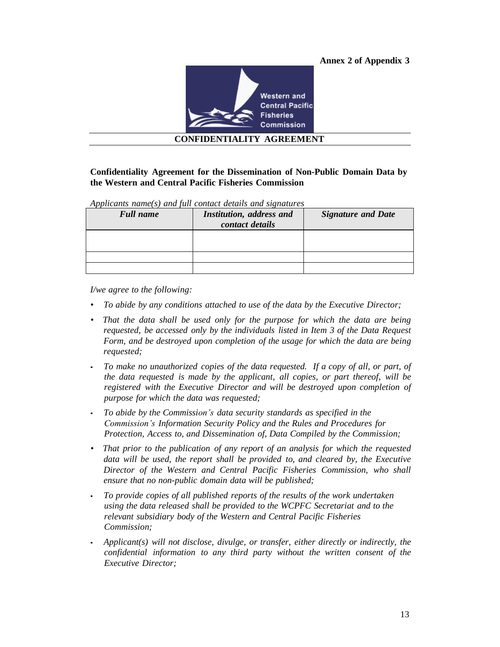

### **Confidentiality Agreement for the Dissemination of Non-Public Domain Data by the Western and Central Pacific Fisheries Commission**

*Applicants name(s) and full contact details and signatures*

| <b>Full name</b> | Institution, address and<br>contact details | <b>Signature and Date</b> |
|------------------|---------------------------------------------|---------------------------|
|                  |                                             |                           |
|                  |                                             |                           |
|                  |                                             |                           |

*I/we agree to the following:*

- *To abide by any conditions attached to use of the data by the Executive Director;*
- *• That the data shall be used only for the purpose for which the data are being requested, be accessed only by the individuals listed in Item 3 of the Data Request Form, and be destroyed upon completion of the usage for which the data are being requested;*
- *To make no unauthorized copies of the data requested. If a copy of all, or part, of the data requested is made by the applicant, all copies, or part thereof, will be registered with the Executive Director and will be destroyed upon completion of purpose for which the data was requested;*
- *To abide by the Commission's data security standards as specified in the Commission's Information Security Policy and the Rules and Procedures for Protection, Access to, and Dissemination of, Data Compiled by the Commission;*
- *• That prior to the publication of any report of an analysis for which the requested data will be used, the report shall be provided to, and cleared by, the Executive Director of the Western and Central Pacific Fisheries Commission, who shall ensure that no non-public domain data will be published;*
- *To provide copies of all published reports of the results of the work undertaken using the data released shall be provided to the WCPFC Secretariat and to the relevant subsidiary body of the Western and Central Pacific Fisheries Commission;*
- *Applicant(s) will not disclose, divulge, or transfer, either directly or indirectly, the confidential information to any third party without the written consent of the Executive Director;*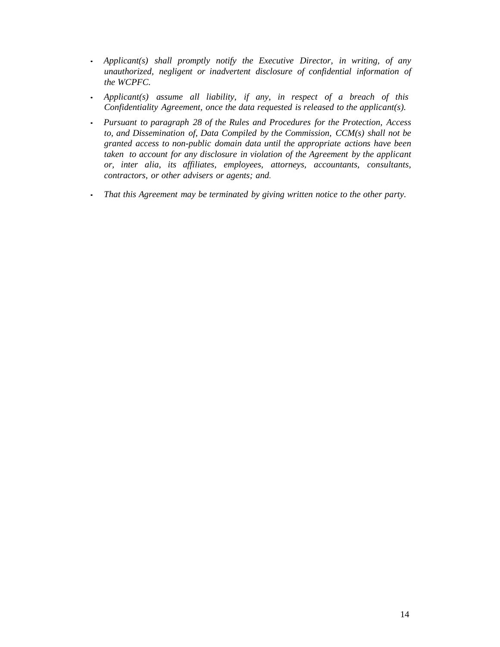- *Applicant(s) shall promptly notify the Executive Director, in writing, of any unauthorized, negligent or inadvertent disclosure of confidential information of the WCPFC.*
- *Applicant(s) assume all liability, if any, in respect of a breach of this Confidentiality Agreement, once the data requested is released to the applicant(s).*
- *Pursuant to paragraph 28 of the Rules and Procedures for the Protection, Access to, and Dissemination of, Data Compiled by the Commission, CCM(s) shall not be granted access to non-public domain data until the appropriate actions have been taken to account for any disclosure in violation of the Agreement by the applicant or, inter alia, its affiliates, employees, attorneys, accountants, consultants, contractors, or other advisers or agents; and.*
- *That this Agreement may be terminated by giving written notice to the other party.*